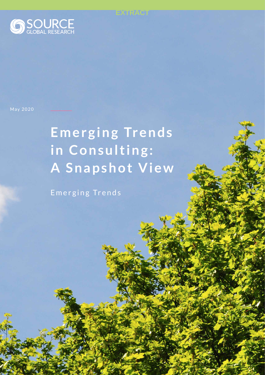<span id="page-0-0"></span>

May 2020

# Emerging Trends in Consulting: **A Snapshot View**

**EXTRACT**

Emerging Trends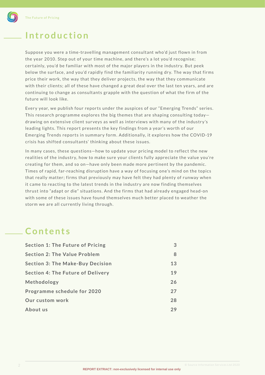<span id="page-1-0"></span>

## **Introduction**

Suppose you were a time-travelling management consultant who'd just flown in from the year 2010. Step out of your time machine, and there's a lot you'd recognise; certainly, you'd be familiar with most of the major players in the industry. But peek below the surface, and you'd rapidly find the familiarity running dry. The way that firms price their work, the way that they deliver projects, the way that they communicate with their clients; all of these have changed a great deal over the last ten years, and are continuing to change as consultants grapple with the question of what the firm of the future will look like.

Every year, we publish four reports under the auspices of our "Emerging Trends" series. This research programme explores the big themes that are shaping consulting today drawing on extensive client surveys as well as interviews with many of the industry's leading lights. This report presents the key findings from a year's worth of our Emerging Trends reports in summary form. Additionally, it explores how the COVID-19 crisis has shifted consultants' thinking about these issues.

In many cases, these questions—how to update your pricing model to reflect the new realities of the industry, how to make sure your clients fully appreciate the value you're creating for them, and so on-have only been made more pertinent by the pandemic. Times of rapid, far-reaching disruption have a way of focusing one's mind on the topics that really matter; firms that previously may have felt they had plenty of runway when it came to reacting to the latest trends in the industry are now finding themselves thrust into "adapt or die" situations. And the firms that had already engaged head-on with some of these issues have found themselves much better placed to weather the storm we are all currently living through.

## **Contents**

| <b>Section 1: The Future of Pricing</b>  | 3  |
|------------------------------------------|----|
| <b>Section 2: The Value Problem</b>      | 8  |
| <b>Section 3: The Make-Buy Decision</b>  | 13 |
| <b>Section 4: The Future of Delivery</b> | 19 |
| Methodology                              | 26 |
| Programme schedule for 2020              |    |
| Our custom work                          |    |
| About us                                 | 29 |
|                                          |    |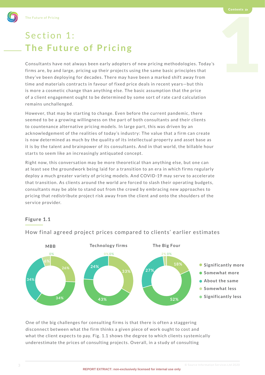## Section 1: **The Future of Pricing**

The Future of Pricing<br>  $\text{Section 1:}$  $\text{Section 1:}$  $\text{Section 1:}$ <br>  $\text{The Future of Pricing}$ <br>
Consultants have not always been early adopters of new pricing methodologies. Today's<br>
firms are, by and large, pricing up their projects using the same basic principles th Consultants have not always been early adopters of new pricing methodologies. Today's firms are, by and large, pricing up their projects using the same basic principles that they've been deploying for decades. There may have been a marked shift away from time and materials contracts in favour of fixed price deals in recent years-but this is more a cosmetic change than any thing else. The basic assumption that the price of a client engagement ought to be determined by some sor t of rate card calculation remains unchallenged.

However, that may be starting to change. Even before the current pandemic, there seemed to be a growing willingness on the part of both consultants and their clients to countenance alternative pricing models. In large part, this was driven by an acknowledgement of the realities of today's industry: The value that a firm can create is now determined as much by the quality of its intellectual property and asset base as it is by the talent and brainpower of its consultants. And in that world, the billable hour starts to seem like an increasingly antiquated concept.

Right now, this conversation may be more theoretical than any thing else, but one can at least see the groundwork being laid for a transition to an era in which firms regularly deploy a much greater variety of pricing models. And COVID-19 may serve to accelerate that transition. As clients around the world are forced to slash their operating budgets, consultants may be able to stand out from the crowd by embracing new approaches to pricing that redistribute project risk away from the client and onto the shoulders of the ser vice provider.

#### **Figure 1.1**



How final agreed project prices compared to clients' earlier estimates

One of the big challenges for consulting firms is that there is often a staggering disconnect between what the firm thinks a given piece of work ought to cost and what the client expects to pay. Fig. 1.1 shows the degree to which clients systemically underestimate the prices of consulting projects. Overall, in a study of consulting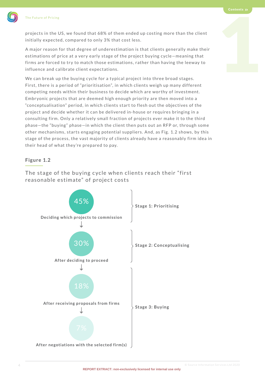<span id="page-3-0"></span>

projects in the US, we found that 68% of them ended up costing more than the client initially expected, compared to only 3% that cost less.

The Future of Pricing<br>projects in the US, we found that 68% of them ended up costing more than the client<br>initially expected, compared to only 3% that cost less.<br>A major reason for that degree of underestimation is that cl A major reason for that degree of underestimation is that clients generally make their estimations of price at a very early stage of the project buying cycle-meaning that firms are forced to try to match those estimations, rather than having the leeway to influence and calibrate client expectations.

We can break up the buying cycle for a typical project into three broad stages. First, there is a period of "prioritisation", in which clients weigh up many different competing needs within their business to decide which are worthy of investment. Embryonic projects that are deemed high enough priority are then moved into a "conceptualisation" period, in which clients start to flesh out the objectives of the project and decide whether it can be delivered in-house or requires bringing in a consulting firm. Only a relatively small fraction of projects ever make it to the third phase-the "buying" phase-in which the client then puts out an RFP or, through some other mechanisms, starts engaging potential suppliers. And, as Fig. 1.2 shows, by this stage of the process, the vast majority of clients already have a reasonably firm idea in their head of what they're prepared to pay.

#### **Figure 1.2**

The stage of the buying cycle when clients reach their "first reasonable estimate" of project costs

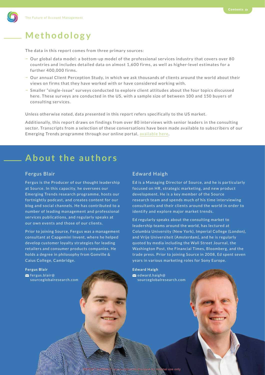The data in this report comes from three primary sources:

- Our global data model: a bottom-up model of the professional services industry that covers over 80 countries and includes detailed data on almost 1 , 6 0 0 firms, as well as higher-level estimates for a further 400,000 firms.
- **–** O ur annual Client Perception Study, in which we ask thousands of client s around the world about their views on firms that they have worked with or have considered working with.
- Smaller "single-issue" surveys conducted to explore client attitudes about the four topics discussed here. These surveys are conducted in the US, with a sample size of between 100 and 150 buyers of consulting services.

Unless otherwise noted, data presented in this report refers specifically to the US market.

Additionally, this report draws on findings from over 80 interviews with senior leaders in the consulting sector. Transcripts from a selection of these conversations have been made available to subscribers of our Emerging Trends programme through our online portal, [available here.](https://reports.sourceglobalresearch.com/emerging-trends)

## **About the authors**

#### Fergus Blair

Fergus is the Producer of our thought leadership at Source. In this capacity, he oversees our Emerging Trends research programme, hosts our for tnightly podcast, and creates content for our blog and social channels . He has contributed to a number of leading management and professional services publications, and regularly speaks at our own events and those of our clients.

Prior to joining Source, Fergus was a management consultant at Capgemini Invent, where he helped develop customer loyalty strategies for leading retailers and consumer products companies. He holds a degree in philosophy from Gonville & Caius College, Cambridge.

#### **Fergus Blair**

 $\blacktriangleright$  [fergus.blair@](mailto:fergus.blair%40sourceglobalresearch.com?subject=) [sourceglobalresearch.com](mailto:fergus.blair%40sourceglobalresearch.com?subject=)

#### Edward Haigh

Ed is a Managing Director of Source, and he is particularly focused on HR, strategic marketing, and new product development. He is a key member of the Source research team and spends much of his time interviewing consultants and their clients around the world in order to identify and explore major market trends.

Ed regularly speaks about the consulting market to leadership teams around the world, has lectured at Columbia University (New York), Imperial College (London), and Vrije Universiteit (Amsterdam), and he is regularly quoted by media including the Wall Street Journal, the Washing ton Post, the Financial Times, Bloomberg, and the trade press. Prior to joining Source in 2008, Ed spent seven years in various marketing roles for Sony Europe.

**Edward Haigh**  $\blacktriangleright$ [edward.haigh@](mailto:edward.haigh%40sourceglobalresearch.com?subject=) [sourceglobalresearch.com](mailto:edward.haigh%40sourceglobalresearch.com?subject=)

26 OCCUPATION SERVICES LTD 2020 CONTROLLER DESCRIPTION AND LOCATION SERVICES LTD 2020 CONTROLLER DESCRIPTION S

<span id="page-4-0"></span>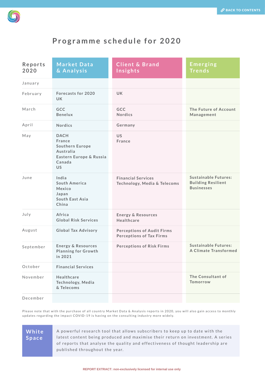<span id="page-5-0"></span>

### **Programme schedule for 2020**

| Reports<br>2020 | <b>Market Data</b><br>& Analysis                                                                               | <b>Client &amp; Brand</b><br>Insights                                | Emerging<br><b>Trends</b>                                                     |
|-----------------|----------------------------------------------------------------------------------------------------------------|----------------------------------------------------------------------|-------------------------------------------------------------------------------|
| January         |                                                                                                                |                                                                      |                                                                               |
| February        | <b>Forecasts for 2020</b><br>UK.                                                                               | <b>UK</b>                                                            |                                                                               |
| March           | <b>GCC</b><br><b>Benelux</b>                                                                                   | <b>GCC</b><br><b>Nordics</b>                                         | The Future of Account<br>Management                                           |
| April           | <b>Nordics</b>                                                                                                 | Germany                                                              |                                                                               |
| May             | <b>DACH</b><br>France<br><b>Southern Europe</b><br>Australia<br>Eastern Europe & Russia<br>Canada<br><b>US</b> | <b>US</b><br>France                                                  |                                                                               |
| June            | India<br>South America<br>Mexico<br>Japan<br>South East Asia<br>China                                          | <b>Financial Services</b><br>Technology, Media & Telecoms            | <b>Sustainable Futures:</b><br><b>Building Resilient</b><br><b>Businesses</b> |
| July            | Africa<br><b>Global Risk Services</b>                                                                          | <b>Energy &amp; Resources</b><br>Healthcare                          |                                                                               |
| August          | <b>Global Tax Advisory</b>                                                                                     | <b>Perceptions of Audit Firms</b><br><b>Perceptions of Tax Firms</b> |                                                                               |
| September       | <b>Energy &amp; Resources</b><br><b>Planning for Growth</b><br>in 2021                                         | <b>Perceptions of Risk Firms</b>                                     | <b>Sustainable Futures:</b><br>A Climate Transformed                          |
| October         | <b>Financial Services</b>                                                                                      |                                                                      |                                                                               |
| November        | Healthcare<br>Technology, Media<br>& Telecoms                                                                  |                                                                      | The Consultant of<br><b>Tomorrow</b>                                          |
| December        |                                                                                                                |                                                                      |                                                                               |

Please note that with the purchase of all country Market Data & Analysis reports in 2020, you will also gain access to monthly updates regarding the impact COVID-19 is having on the consulting industry more widely.

#### **White Space**

A powerful research tool that allows subscribers to keep up to date with the latest content being produced and maximise their return on investment. A series of reports that analyse the quality and effectiveness of thought leadership are published throughout the year.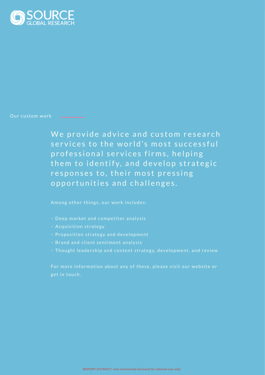<span id="page-6-0"></span>

#### Our custom work

We provide advice and custom research services to the world's most successful professional services firms, helping them to identify, and develop strategic responses to, their most pressing opportunities and challenges.

Among other things, our work includes:

- 
- Acquisition strategy
- Proposition strategy and development
- Brand and client sentiment analysis
- Thought leadership and content strategy, development, and review

get in touch.